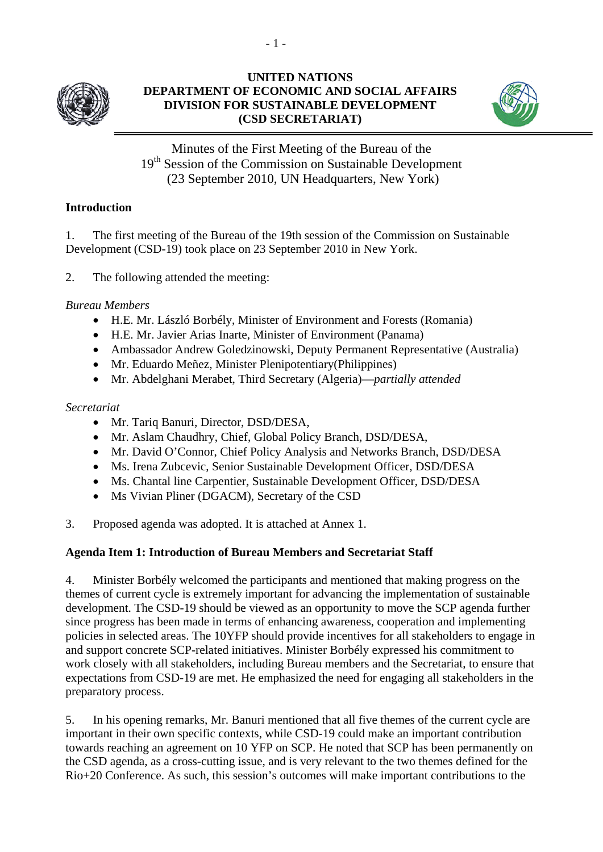

## **UNITED NATIONS DEPARTMENT OF ECONOMIC AND SOCIAL AFFAIRS DIVISION FOR SUSTAINABLE DEVELOPMENT (CSD SECRETARIAT)**



Minutes of the First Meeting of the Bureau of the 19<sup>th</sup> Session of the Commission on Sustainable Development (23 September 2010, UN Headquarters, New York)

## **Introduction**

1. The first meeting of the Bureau of the 19th session of the Commission on Sustainable Development (CSD-19) took place on 23 September 2010 in New York.

2. The following attended the meeting:

*Bureau Members* 

- H.E. Mr. László Borbély, Minister of Environment and Forests (Romania)
- H.E. Mr. Javier Arias Inarte, Minister of Environment (Panama)
- Ambassador Andrew Goledzinowski, Deputy Permanent Representative (Australia)
- Mr. Eduardo Meñez, Minister Plenipotentiary(Philippines)
- Mr. Abdelghani Merabet, Third Secretary (Algeria)—*partially attended*

### *Secretariat*

- Mr. Tariq Banuri, Director, DSD/DESA,
- Mr. Aslam Chaudhry, Chief, Global Policy Branch, DSD/DESA,
- Mr. David O'Connor, Chief Policy Analysis and Networks Branch, DSD/DESA
- Ms. Irena Zubcevic, Senior Sustainable Development Officer, DSD/DESA
- Ms. Chantal line Carpentier, Sustainable Development Officer, DSD/DESA
- Ms Vivian Pliner (DGACM), Secretary of the CSD
- 3. Proposed agenda was adopted. It is attached at Annex 1.

### **Agenda Item 1: Introduction of Bureau Members and Secretariat Staff**

4. Minister Borbély welcomed the participants and mentioned that making progress on the themes of current cycle is extremely important for advancing the implementation of sustainable development. The CSD-19 should be viewed as an opportunity to move the SCP agenda further since progress has been made in terms of enhancing awareness, cooperation and implementing policies in selected areas. The 10YFP should provide incentives for all stakeholders to engage in and support concrete SCP-related initiatives. Minister Borbély expressed his commitment to work closely with all stakeholders, including Bureau members and the Secretariat, to ensure that expectations from CSD-19 are met. He emphasized the need for engaging all stakeholders in the preparatory process.

5. In his opening remarks, Mr. Banuri mentioned that all five themes of the current cycle are important in their own specific contexts, while CSD-19 could make an important contribution towards reaching an agreement on 10 YFP on SCP. He noted that SCP has been permanently on the CSD agenda, as a cross-cutting issue, and is very relevant to the two themes defined for the Rio+20 Conference. As such, this session's outcomes will make important contributions to the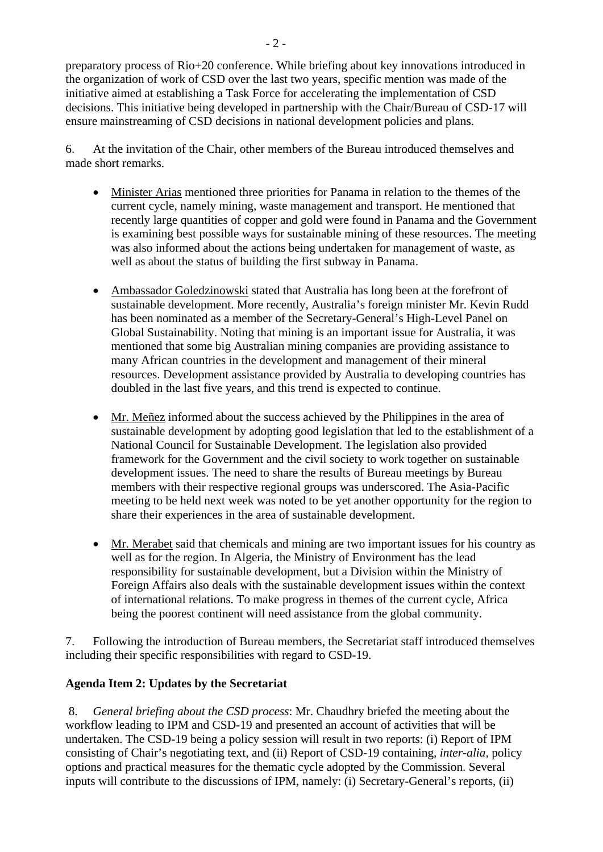preparatory process of Rio+20 conference. While briefing about key innovations introduced in the organization of work of CSD over the last two years, specific mention was made of the initiative aimed at establishing a Task Force for accelerating the implementation of CSD decisions. This initiative being developed in partnership with the Chair/Bureau of CSD-17 will ensure mainstreaming of CSD decisions in national development policies and plans.

6. At the invitation of the Chair, other members of the Bureau introduced themselves and made short remarks.

- Minister Arias mentioned three priorities for Panama in relation to the themes of the current cycle, namely mining, waste management and transport. He mentioned that recently large quantities of copper and gold were found in Panama and the Government is examining best possible ways for sustainable mining of these resources. The meeting was also informed about the actions being undertaken for management of waste, as well as about the status of building the first subway in Panama.
- Ambassador Goledzinowski stated that Australia has long been at the forefront of sustainable development. More recently, Australia's foreign minister Mr. Kevin Rudd has been nominated as a member of the Secretary-General's High-Level Panel on Global Sustainability. Noting that mining is an important issue for Australia, it was mentioned that some big Australian mining companies are providing assistance to many African countries in the development and management of their mineral resources. Development assistance provided by Australia to developing countries has doubled in the last five years, and this trend is expected to continue.
- Mr. Meñez informed about the success achieved by the Philippines in the area of sustainable development by adopting good legislation that led to the establishment of a National Council for Sustainable Development. The legislation also provided framework for the Government and the civil society to work together on sustainable development issues. The need to share the results of Bureau meetings by Bureau members with their respective regional groups was underscored. The Asia-Pacific meeting to be held next week was noted to be yet another opportunity for the region to share their experiences in the area of sustainable development.
- Mr. Merabet said that chemicals and mining are two important issues for his country as well as for the region. In Algeria, the Ministry of Environment has the lead responsibility for sustainable development, but a Division within the Ministry of Foreign Affairs also deals with the sustainable development issues within the context of international relations. To make progress in themes of the current cycle, Africa being the poorest continent will need assistance from the global community.

7. Following the introduction of Bureau members, the Secretariat staff introduced themselves including their specific responsibilities with regard to CSD-19.

### **Agenda Item 2: Updates by the Secretariat**

 8. *General briefing about the CSD process*: Mr. Chaudhry briefed the meeting about the workflow leading to IPM and CSD-19 and presented an account of activities that will be undertaken. The CSD-19 being a policy session will result in two reports: (i) Report of IPM consisting of Chair's negotiating text, and (ii) Report of CSD-19 containing*, inter-alia,* policy options and practical measures for the thematic cycle adopted by the Commission. Several inputs will contribute to the discussions of IPM, namely: (i) Secretary-General's reports, (ii)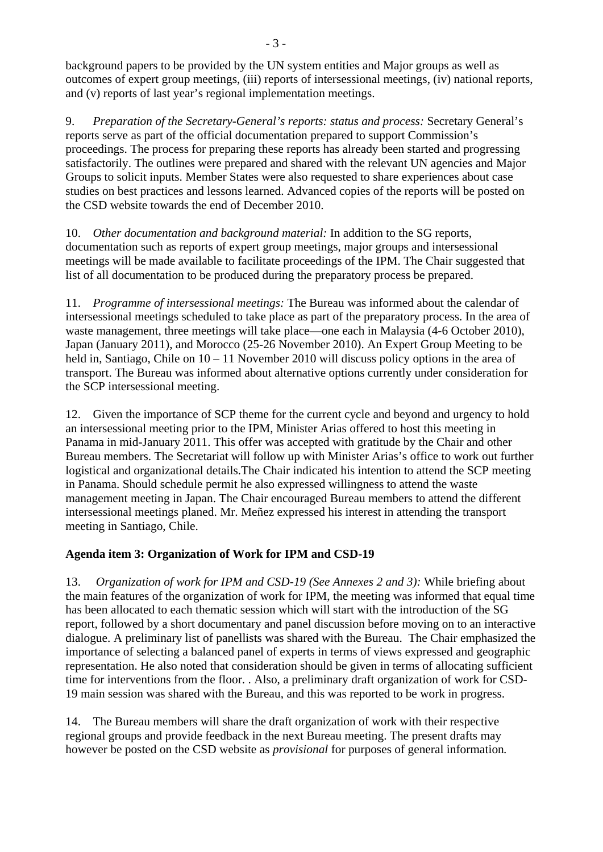background papers to be provided by the UN system entities and Major groups as well as outcomes of expert group meetings, (iii) reports of intersessional meetings, (iv) national reports, and (v) reports of last year's regional implementation meetings.

9. *Preparation of the Secretary-General's reports: status and process:* Secretary General's reports serve as part of the official documentation prepared to support Commission's proceedings. The process for preparing these reports has already been started and progressing satisfactorily. The outlines were prepared and shared with the relevant UN agencies and Major Groups to solicit inputs. Member States were also requested to share experiences about case studies on best practices and lessons learned. Advanced copies of the reports will be posted on the CSD website towards the end of December 2010.

10. *Other documentation and background material:* In addition to the SG reports, documentation such as reports of expert group meetings, major groups and intersessional meetings will be made available to facilitate proceedings of the IPM. The Chair suggested that list of all documentation to be produced during the preparatory process be prepared.

11. *Programme of intersessional meetings:* The Bureau was informed about the calendar of intersessional meetings scheduled to take place as part of the preparatory process. In the area of waste management, three meetings will take place—one each in Malaysia (4-6 October 2010), Japan (January 2011), and Morocco (25-26 November 2010). An Expert Group Meeting to be held in, Santiago, Chile on  $10 - 11$  November 2010 will discuss policy options in the area of transport. The Bureau was informed about alternative options currently under consideration for the SCP intersessional meeting.

12. Given the importance of SCP theme for the current cycle and beyond and urgency to hold an intersessional meeting prior to the IPM, Minister Arias offered to host this meeting in Panama in mid-January 2011. This offer was accepted with gratitude by the Chair and other Bureau members. The Secretariat will follow up with Minister Arias's office to work out further logistical and organizational details.The Chair indicated his intention to attend the SCP meeting in Panama. Should schedule permit he also expressed willingness to attend the waste management meeting in Japan. The Chair encouraged Bureau members to attend the different intersessional meetings planed. Mr. Meñez expressed his interest in attending the transport meeting in Santiago, Chile.

# **Agenda item 3: Organization of Work for IPM and CSD-19**

13. *Organization of work for IPM and CSD-19 (See Annexes 2 and 3):* While briefing about the main features of the organization of work for IPM, the meeting was informed that equal time has been allocated to each thematic session which will start with the introduction of the SG report, followed by a short documentary and panel discussion before moving on to an interactive dialogue. A preliminary list of panellists was shared with the Bureau. The Chair emphasized the importance of selecting a balanced panel of experts in terms of views expressed and geographic representation. He also noted that consideration should be given in terms of allocating sufficient time for interventions from the floor. . Also, a preliminary draft organization of work for CSD-19 main session was shared with the Bureau, and this was reported to be work in progress.

14. The Bureau members will share the draft organization of work with their respective regional groups and provide feedback in the next Bureau meeting. The present drafts may however be posted on the CSD website as *provisional* for purposes of general information*.*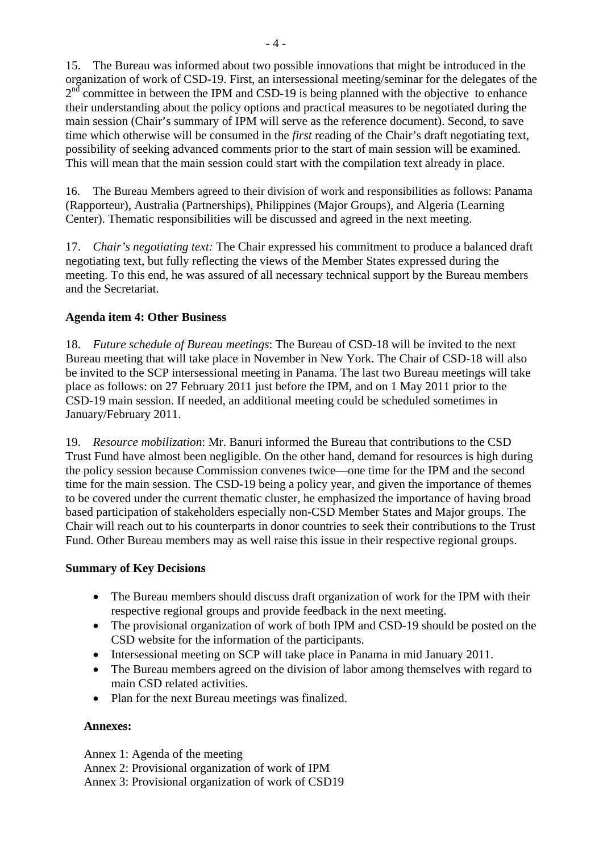15. The Bureau was informed about two possible innovations that might be introduced in the organization of work of CSD-19. First, an intersessional meeting/seminar for the delegates of the  $2<sup>nd</sup>$  committee in between the IPM and CSD-19 is being planned with the objective to enhance their understanding about the policy options and practical measures to be negotiated during the main session (Chair's summary of IPM will serve as the reference document). Second, to save time which otherwise will be consumed in the *first* reading of the Chair's draft negotiating text, possibility of seeking advanced comments prior to the start of main session will be examined. This will mean that the main session could start with the compilation text already in place.

16. The Bureau Members agreed to their division of work and responsibilities as follows: Panama (Rapporteur), Australia (Partnerships), Philippines (Major Groups), and Algeria (Learning Center). Thematic responsibilities will be discussed and agreed in the next meeting.

17. *Chair's negotiating text:* The Chair expressed his commitment to produce a balanced draft negotiating text, but fully reflecting the views of the Member States expressed during the meeting. To this end, he was assured of all necessary technical support by the Bureau members and the Secretariat.

### **Agenda item 4: Other Business**

18. *Future schedule of Bureau meetings*: The Bureau of CSD-18 will be invited to the next Bureau meeting that will take place in November in New York. The Chair of CSD-18 will also be invited to the SCP intersessional meeting in Panama. The last two Bureau meetings will take place as follows: on 27 February 2011 just before the IPM, and on 1 May 2011 prior to the CSD-19 main session. If needed, an additional meeting could be scheduled sometimes in January/February 2011.

19. *Resource mobilization*: Mr. Banuri informed the Bureau that contributions to the CSD Trust Fund have almost been negligible. On the other hand, demand for resources is high during the policy session because Commission convenes twice—one time for the IPM and the second time for the main session. The CSD-19 being a policy year, and given the importance of themes to be covered under the current thematic cluster, he emphasized the importance of having broad based participation of stakeholders especially non-CSD Member States and Major groups. The Chair will reach out to his counterparts in donor countries to seek their contributions to the Trust Fund. Other Bureau members may as well raise this issue in their respective regional groups.

### **Summary of Key Decisions**

- The Bureau members should discuss draft organization of work for the IPM with their respective regional groups and provide feedback in the next meeting.
- The provisional organization of work of both IPM and CSD-19 should be posted on the CSD website for the information of the participants.
- Intersessional meeting on SCP will take place in Panama in mid January 2011.
- The Bureau members agreed on the division of labor among themselves with regard to main CSD related activities.
- Plan for the next Bureau meetings was finalized.

# **Annexes:**

Annex 1: Agenda of the meeting Annex 2: Provisional organization of work of IPM Annex 3: Provisional organization of work of CSD19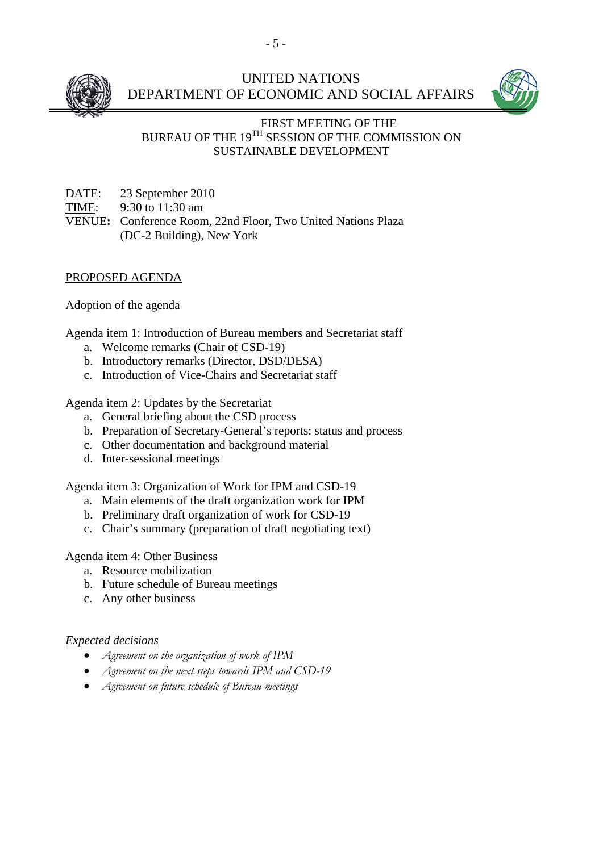

# UNITED NATIONS DEPARTMENT OF ECONOMIC AND SOCIAL AFFAIRS



## FIRST MEETING OF THE BUREAU OF THE 19TH SESSION OF THE COMMISSION ON SUSTAINABLE DEVELOPMENT

DATE: 23 September 2010 TIME: 9:30 to 11:30 am VENUE**:** Conference Room, 22nd Floor, Two United Nations Plaza (DC-2 Building), New York

### PROPOSED AGENDA

Adoption of the agenda

Agenda item 1: Introduction of Bureau members and Secretariat staff

- a. Welcome remarks (Chair of CSD-19)
- b. Introductory remarks (Director, DSD/DESA)
- c. Introduction of Vice-Chairs and Secretariat staff

Agenda item 2: Updates by the Secretariat

- a. General briefing about the CSD process
- b. Preparation of Secretary-General's reports: status and process
- c. Other documentation and background material
- d. Inter-sessional meetings

Agenda item 3: Organization of Work for IPM and CSD-19

- a. Main elements of the draft organization work for IPM
- b. Preliminary draft organization of work for CSD-19
- c. Chair's summary (preparation of draft negotiating text)

Agenda item 4: Other Business

- a. Resource mobilization
- b. Future schedule of Bureau meetings
- c. Any other business

### *Expected decisions*

- *Agreement on the organization of work of IPM*
- *Agreement on the next steps towards IPM and CSD-19*
- *Agreement on future schedule of Bureau meetings*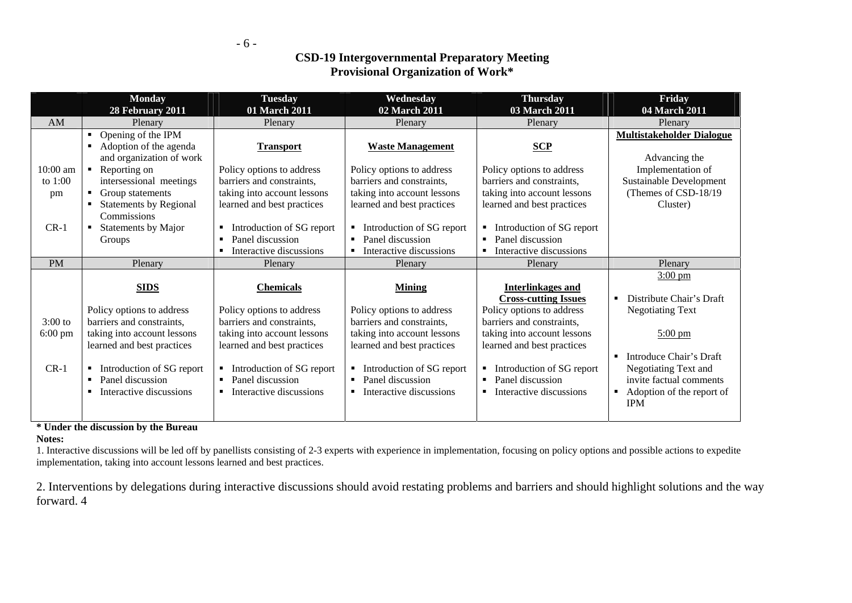- 6 -

## **CSD-19 Intergovernmental Preparatory Meeting Provisional Organization of Work\***

|                                | <b>Monday</b><br>28 February 2011                                                                                                 | <b>Tuesday</b><br>01 March 2011                                                                                     | Wednesday<br>02 March 2011                                                                                          | <b>Thursday</b><br>03 March 2011                                                                                    | Friday<br>04 March 2011                                                                                                 |
|--------------------------------|-----------------------------------------------------------------------------------------------------------------------------------|---------------------------------------------------------------------------------------------------------------------|---------------------------------------------------------------------------------------------------------------------|---------------------------------------------------------------------------------------------------------------------|-------------------------------------------------------------------------------------------------------------------------|
| AM                             | Plenary                                                                                                                           | Plenary                                                                                                             | Plenary                                                                                                             | Plenary                                                                                                             | Plenary                                                                                                                 |
|                                | Opening of the IPM<br>$\blacksquare$<br>Adoption of the agenda<br>٠<br>and organization of work                                   | <b>Transport</b>                                                                                                    | <b>Waste Management</b>                                                                                             | SCP                                                                                                                 | <b>Multistakeholder Dialogue</b><br>Advancing the                                                                       |
| 10:00 am<br>to 1:00<br>pm      | $\blacksquare$ Reporting on<br>intersessional meetings<br>Group statements<br><b>Statements by Regional</b><br><b>Commissions</b> | Policy options to address<br>barriers and constraints,<br>taking into account lessons<br>learned and best practices | Policy options to address<br>barriers and constraints,<br>taking into account lessons<br>learned and best practices | Policy options to address<br>barriers and constraints,<br>taking into account lessons<br>learned and best practices | Implementation of<br>Sustainable Development<br>(Themes of CSD-18/19)<br>Cluster)                                       |
| $CR-1$                         | Statements by Major<br>$\blacksquare$<br>Groups                                                                                   | Introduction of SG report<br>٠<br>Panel discussion<br>Interactive discussions                                       | Introduction of SG report<br>٠<br>Panel discussion<br>Interactive discussions                                       | Introduction of SG report<br>Panel discussion<br>Interactive discussions                                            |                                                                                                                         |
| <b>PM</b>                      | Plenary                                                                                                                           | Plenary                                                                                                             | Plenary                                                                                                             | Plenary                                                                                                             | Plenary                                                                                                                 |
|                                | <b>SIDS</b>                                                                                                                       | <b>Chemicals</b>                                                                                                    | <b>Mining</b>                                                                                                       | <b>Interlinkages and</b><br><b>Cross-cutting Issues</b>                                                             | $3:00 \text{ pm}$<br>Distribute Chair's Draft<br>п                                                                      |
| $3:00$ to<br>$6:00 \text{ pm}$ | Policy options to address<br>barriers and constraints,<br>taking into account lessons<br>learned and best practices               | Policy options to address<br>barriers and constraints,<br>taking into account lessons<br>learned and best practices | Policy options to address<br>barriers and constraints,<br>taking into account lessons<br>learned and best practices | Policy options to address<br>barriers and constraints,<br>taking into account lessons<br>learned and best practices | <b>Negotiating Text</b><br>$5:00 \text{ pm}$                                                                            |
| $CR-1$                         | Introduction of SG report<br>٠<br>Panel discussion<br>Interactive discussions                                                     | Introduction of SG report<br>٠<br>Panel discussion<br>Interactive discussions                                       | Introduction of SG report<br>Panel discussion<br>Interactive discussions<br>٠                                       | Introduction of SG report<br>Panel discussion<br>Interactive discussions<br>٠                                       | Introduce Chair's Draft<br>Negotiating Text and<br>invite factual comments<br>• Adoption of the report of<br><b>IPM</b> |

### **\* Under the discussion by the Bureau**

### **Notes:**

1. Interactive discussions will be led off by panellists consisting of 2-3 experts with experience in implementation, focusing on policy options and possible actions to expedite implementation, taking into account lessons learned and best practices.

2. Interventions by delegations during interactive discussions should avoid restating problems and barriers and should highlight solutions and the way forward. 4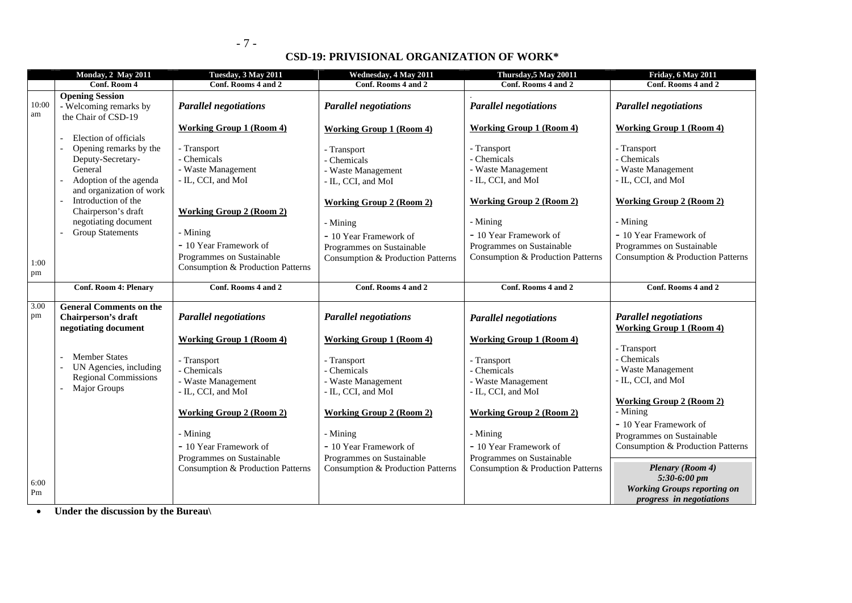### **CSD-19: PRIVISIONAL ORGANIZATION OF WORK\***

|             | <b>Monday, 2 May 2011</b>                                                                                                             | Tuesday, 3 May 2011                                                                                       | Wednesday, 4 May 2011                                                                                     | Thursday, 5 May 20011                                                                                     | Friday, 6 May 2011                                                                                        |
|-------------|---------------------------------------------------------------------------------------------------------------------------------------|-----------------------------------------------------------------------------------------------------------|-----------------------------------------------------------------------------------------------------------|-----------------------------------------------------------------------------------------------------------|-----------------------------------------------------------------------------------------------------------|
|             | Conf. Room 4                                                                                                                          | Conf. Rooms 4 and 2                                                                                       | Conf. Rooms 4 and 2                                                                                       | Conf. Rooms 4 and 2                                                                                       | Conf. Rooms 4 and 2                                                                                       |
| 10:00<br>am | <b>Opening Session</b><br>- Welcoming remarks by<br>the Chair of CSD-19                                                               | <b>Parallel negotiations</b>                                                                              | <b>Parallel negotiations</b>                                                                              | <b>Parallel negotiations</b>                                                                              | <b>Parallel negotiations</b>                                                                              |
|             |                                                                                                                                       | <b>Working Group 1 (Room 4)</b>                                                                           | <b>Working Group 1 (Room 4)</b>                                                                           | <b>Working Group 1 (Room 4)</b>                                                                           | <b>Working Group 1 (Room 4)</b>                                                                           |
|             | Election of officials<br>Opening remarks by the<br>Deputy-Secretary-<br>General<br>Adoption of the agenda<br>and organization of work | - Transport<br>- Chemicals<br>- Waste Management<br>- IL, CCI, and MoI                                    | - Transport<br>Chemicals<br>- Waste Management<br>- IL, CCI, and MoI                                      | - Transport<br>- Chemicals<br>- Waste Management<br>- IL, CCI, and MoI                                    | - Transport<br>- Chemicals<br>- Waste Management<br>- IL, CCI, and MoI                                    |
|             | Introduction of the<br>Chairperson's draft                                                                                            | <b>Working Group 2 (Room 2)</b>                                                                           | <b>Working Group 2 (Room 2)</b>                                                                           | <b>Working Group 2 (Room 2)</b>                                                                           | <b>Working Group 2 (Room 2)</b>                                                                           |
|             | negotiating document                                                                                                                  |                                                                                                           | - Mining                                                                                                  | - Mining                                                                                                  | - Mining                                                                                                  |
| 1:00<br>pm  | <b>Group Statements</b>                                                                                                               | - Mining<br>- 10 Year Framework of<br>Programmes on Sustainable<br>Consumption & Production Patterns      | - 10 Year Framework of<br>Programmes on Sustainable<br>Consumption & Production Patterns                  | - 10 Year Framework of<br>Programmes on Sustainable<br>Consumption & Production Patterns                  | - 10 Year Framework of<br>Programmes on Sustainable<br>Consumption & Production Patterns                  |
|             | <b>Conf. Room 4: Plenary</b>                                                                                                          | Conf. Rooms 4 and 2                                                                                       | Conf. Rooms 4 and 2                                                                                       | Conf. Rooms 4 and 2                                                                                       | Conf. Rooms 4 and 2                                                                                       |
| 3.00<br>pm  | <b>General Comments on the</b><br>Chairperson's draft<br>negotiating document                                                         | <b>Parallel negotiations</b>                                                                              | <b>Parallel negotiations</b>                                                                              | <b>Parallel negotiations</b>                                                                              | <b>Parallel negotiations</b><br><b>Working Group 1 (Room 4)</b>                                           |
|             |                                                                                                                                       | <b>Working Group 1 (Room 4)</b>                                                                           | <b>Working Group 1 (Room 4)</b>                                                                           | <b>Working Group 1 (Room 4)</b>                                                                           | - Transport                                                                                               |
|             | <b>Member States</b><br>UN Agencies, including<br><b>Regional Commissions</b><br>Major Groups                                         | - Transport<br>- Chemicals<br>- Waste Management<br>- IL, CCI, and MoI<br><b>Working Group 2 (Room 2)</b> | - Transport<br>- Chemicals<br>- Waste Management<br>- IL, CCI, and MoI<br><b>Working Group 2 (Room 2)</b> | - Transport<br>- Chemicals<br>- Waste Management<br>- IL, CCI, and MoI<br><b>Working Group 2 (Room 2)</b> | - Chemicals<br>- Waste Management<br>- IL, CCI, and MoI<br><b>Working Group 2 (Room 2)</b><br>- Mining    |
|             |                                                                                                                                       |                                                                                                           |                                                                                                           |                                                                                                           | - 10 Year Framework of                                                                                    |
|             |                                                                                                                                       | - Mining<br>- 10 Year Framework of<br>Programmes on Sustainable                                           | - Mining<br>- 10 Year Framework of<br>Programmes on Sustainable                                           | - Mining<br>- 10 Year Framework of<br>Programmes on Sustainable                                           | Programmes on Sustainable<br>Consumption & Production Patterns                                            |
| 6:00<br>Pm  |                                                                                                                                       | Consumption & Production Patterns                                                                         | Consumption & Production Patterns                                                                         | Consumption & Production Patterns                                                                         | <b>Plenary (Room 4)</b><br>5:30-6:00 pm<br><b>Working Groups reporting on</b><br>progress in negotiations |

**Under the discussion by the Bureau\**